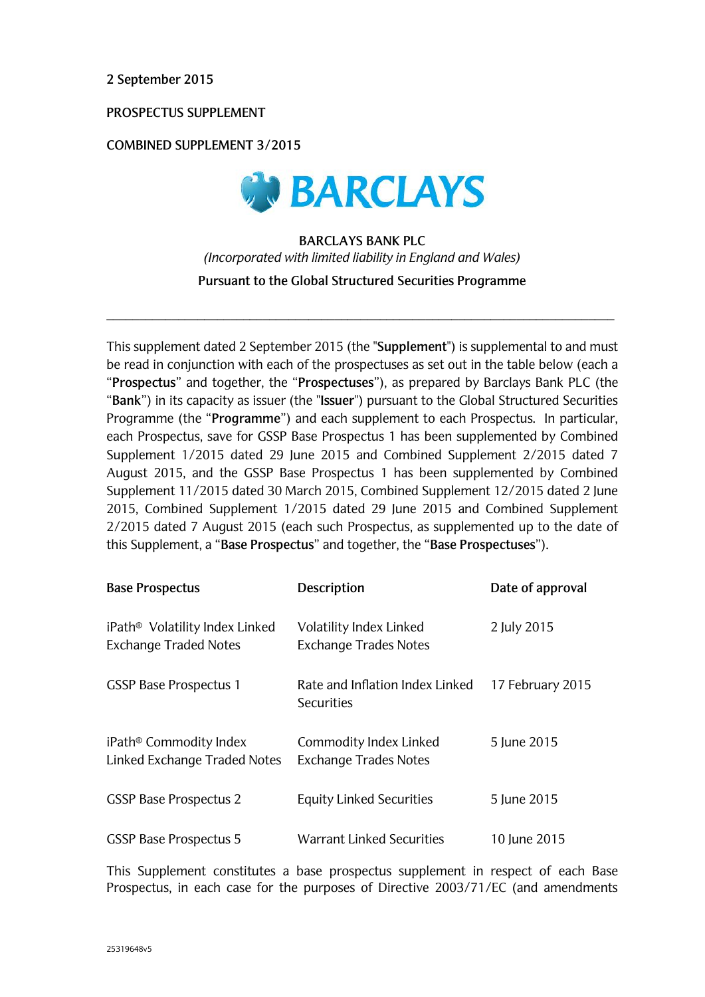**2 September 2015**

**PROSPECTUS SUPPLEMENT** 

**COMBINED SUPPLEMENT 3/2015**



**BARCLAYS BANK PLC**  *(Incorporated with limited liability in England and Wales)* **Pursuant to the Global Structured Securities Programme**

 $\_$  ,  $\_$  ,  $\_$  ,  $\_$  ,  $\_$  ,  $\_$  ,  $\_$  ,  $\_$  ,  $\_$  ,  $\_$  ,  $\_$  ,  $\_$  ,  $\_$  ,  $\_$  ,  $\_$  ,  $\_$  ,  $\_$  ,  $\_$  ,  $\_$  ,  $\_$  ,  $\_$  ,  $\_$  ,  $\_$  ,  $\_$  ,  $\_$  ,  $\_$  ,  $\_$  ,  $\_$  ,  $\_$  ,  $\_$  ,  $\_$  ,  $\_$  ,  $\_$  ,  $\_$  ,  $\_$  ,  $\_$  ,  $\_$  ,

This supplement dated 2 September 2015 (the "**Supplement**") is supplemental to and must be read in conjunction with each of the prospectuses as set out in the table below (each a "**Prospectus**" and together, the "**Prospectuses**"), as prepared by Barclays Bank PLC (the "**Bank**") in its capacity as issuer (the "**Issuer**") pursuant to the Global Structured Securities Programme (the "**Programme**") and each supplement to each Prospectus. In particular, each Prospectus, save for GSSP Base Prospectus 1 has been supplemented by Combined Supplement 1/2015 dated 29 June 2015 and Combined Supplement 2/2015 dated 7 August 2015, and the GSSP Base Prospectus 1 has been supplemented by Combined Supplement 11/2015 dated 30 March 2015, Combined Supplement 12/2015 dated 2 June 2015, Combined Supplement 1/2015 dated 29 June 2015 and Combined Supplement 2/2015 dated 7 August 2015 (each such Prospectus, as supplemented up to the date of this Supplement, a "**Base Prospectus**" and together, the "**Base Prospectuses**").

| <b>Base Prospectus</b>                                                     | Description                                             | Date of approval |
|----------------------------------------------------------------------------|---------------------------------------------------------|------------------|
| iPath <sup>®</sup> Volatility Index Linked<br><b>Exchange Traded Notes</b> | Volatility Index Linked<br><b>Exchange Trades Notes</b> | 2 July 2015      |
| <b>GSSP Base Prospectus 1</b>                                              | Rate and Inflation Index Linked<br>Securities           | 17 February 2015 |
| iPath <sup>®</sup> Commodity Index<br>Linked Exchange Traded Notes         | Commodity Index Linked<br><b>Exchange Trades Notes</b>  | 5 June 2015      |
| <b>GSSP Base Prospectus 2</b>                                              | <b>Equity Linked Securities</b>                         | 5 June 2015      |
| <b>GSSP Base Prospectus 5</b>                                              | Warrant Linked Securities                               | 10 June 2015     |

This Supplement constitutes a base prospectus supplement in respect of each Base Prospectus, in each case for the purposes of Directive 2003/71/EC (and amendments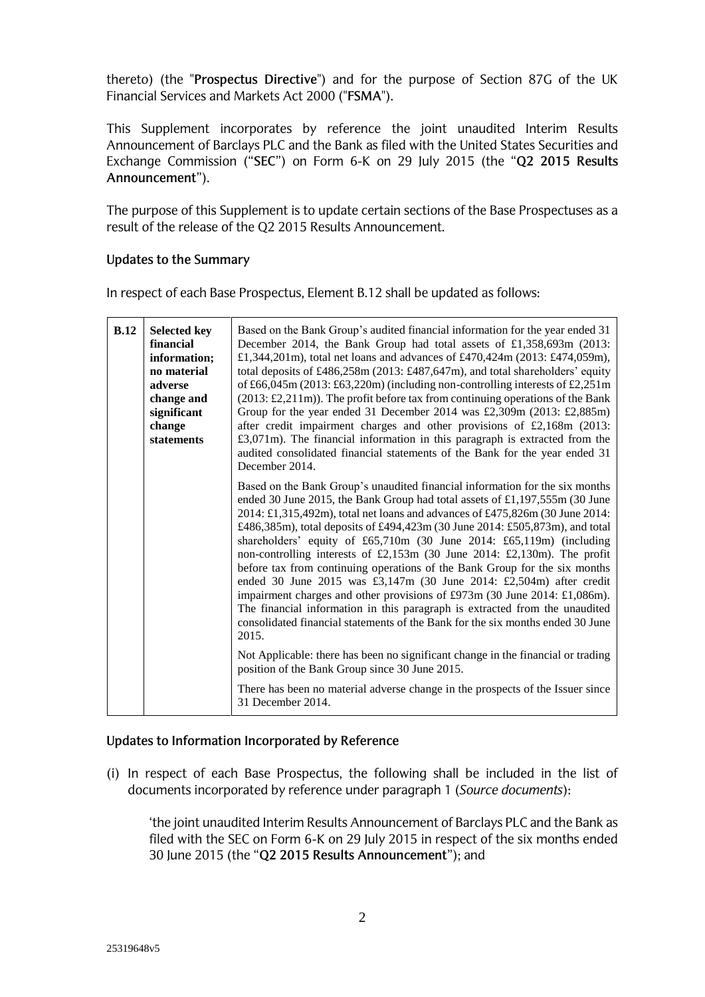thereto) (the "**Prospectus Directive**") and for the purpose of Section 87G of the UK Financial Services and Markets Act 2000 ("**FSMA**").

This Supplement incorporates by reference the joint unaudited Interim Results Announcement of Barclays PLC and the Bank as filed with the United States Securities and Exchange Commission ("**SEC**") on Form 6-K on 29 July 2015 (the "**Q2 2015 Results Announcement**").

The purpose of this Supplement is to update certain sections of the Base Prospectuses as a result of the release of the Q2 2015 Results Announcement.

### **Updates to the Summary**

In respect of each Base Prospectus, Element B.12 shall be updated as follows:

| B.12 | <b>Selected key</b><br>financial<br>information;<br>no material<br>adverse<br>change and<br>significant<br>change<br>statements | Based on the Bank Group's audited financial information for the year ended 31<br>December 2014, the Bank Group had total assets of £1,358,693m (2013:<br>£1,344,201m), total net loans and advances of £470,424m (2013: £474,059m),<br>total deposits of £486,258m (2013: £487,647m), and total shareholders' equity<br>of £66,045m (2013: £63,220m) (including non-controlling interests of £2,251m<br>$(2013: \text{\textsterling}2, 211\text{m})$ ). The profit before tax from continuing operations of the Bank<br>Group for the year ended 31 December 2014 was £2,309m (2013: £2,885m)<br>after credit impairment charges and other provisions of £2,168m (2013:<br>$£3,071m$ ). The financial information in this paragraph is extracted from the<br>audited consolidated financial statements of the Bank for the year ended 31<br>December 2014.                                    |
|------|---------------------------------------------------------------------------------------------------------------------------------|-----------------------------------------------------------------------------------------------------------------------------------------------------------------------------------------------------------------------------------------------------------------------------------------------------------------------------------------------------------------------------------------------------------------------------------------------------------------------------------------------------------------------------------------------------------------------------------------------------------------------------------------------------------------------------------------------------------------------------------------------------------------------------------------------------------------------------------------------------------------------------------------------|
|      |                                                                                                                                 | Based on the Bank Group's unaudited financial information for the six months<br>ended 30 June 2015, the Bank Group had total assets of £1,197,555m (30 June<br>2014: £1,315,492m), total net loans and advances of £475,826m (30 June 2014:<br>£486,385m), total deposits of £494,423m (30 June 2014: £505,873m), and total<br>shareholders' equity of $£65,710m$ (30 June 2014: £65,119m) (including<br>non-controlling interests of £2,153m (30 June 2014: £2,130m). The profit<br>before tax from continuing operations of the Bank Group for the six months<br>ended 30 June 2015 was £3,147m (30 June 2014: £2,504m) after credit<br>impairment charges and other provisions of £973m (30 June 2014: £1,086m).<br>The financial information in this paragraph is extracted from the unaudited<br>consolidated financial statements of the Bank for the six months ended 30 June<br>2015. |
|      |                                                                                                                                 | Not Applicable: there has been no significant change in the financial or trading<br>position of the Bank Group since 30 June 2015.                                                                                                                                                                                                                                                                                                                                                                                                                                                                                                                                                                                                                                                                                                                                                            |
|      |                                                                                                                                 | There has been no material adverse change in the prospects of the Issuer since<br>31 December 2014.                                                                                                                                                                                                                                                                                                                                                                                                                                                                                                                                                                                                                                                                                                                                                                                           |

# **Updates to Information Incorporated by Reference**

(i) In respect of each Base Prospectus, the following shall be included in the list of documents incorporated by reference under paragraph 1 (*Source documents*):

'the joint unaudited Interim Results Announcement of Barclays PLC and the Bank as filed with the SEC on Form 6-K on 29 July 2015 in respect of the six months ended 30 June 2015 (the "**Q2 2015 Results Announcement**"); and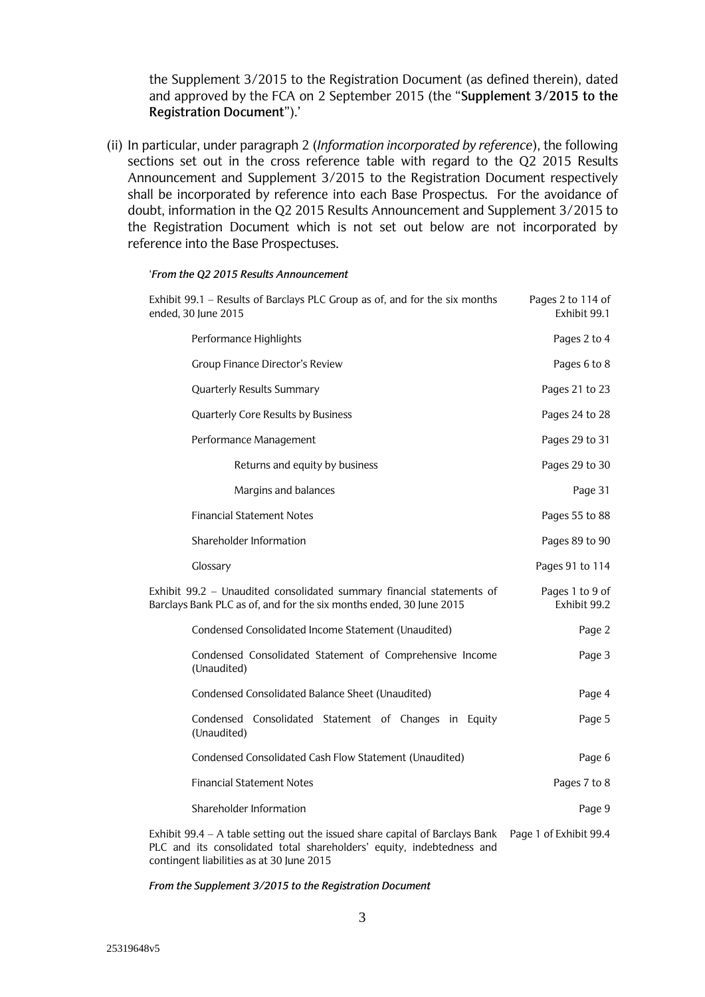the Supplement 3/2015 to the Registration Document (as defined therein), dated and approved by the FCA on 2 September 2015 (the "**Supplement 3/2015 to the Registration Document**").'

(ii) In particular, under paragraph 2 (*Information incorporated by reference*), the following sections set out in the cross reference table with regard to the Q2 2015 Results Announcement and Supplement 3/2015 to the Registration Document respectively shall be incorporated by reference into each Base Prospectus. For the avoidance of doubt, information in the Q2 2015 Results Announcement and Supplement 3/2015 to the Registration Document which is not set out below are not incorporated by reference into the Base Prospectuses.

#### '*From the Q2 2015 Results Announcement*

| Exhibit 99.1 - Results of Barclays PLC Group as of, and for the six months<br>ended, 30 June 2015                                            | Pages 2 to 114 of<br>Exhibit 99.1 |
|----------------------------------------------------------------------------------------------------------------------------------------------|-----------------------------------|
| Performance Highlights                                                                                                                       | Pages 2 to 4                      |
| <b>Group Finance Director's Review</b>                                                                                                       | Pages 6 to 8                      |
| <b>Quarterly Results Summary</b>                                                                                                             | Pages 21 to 23                    |
| Quarterly Core Results by Business                                                                                                           | Pages 24 to 28                    |
| Performance Management                                                                                                                       | Pages 29 to 31                    |
| Returns and equity by business                                                                                                               | Pages 29 to 30                    |
| Margins and balances                                                                                                                         | Page 31                           |
| <b>Financial Statement Notes</b>                                                                                                             | Pages 55 to 88                    |
| Shareholder Information                                                                                                                      | Pages 89 to 90                    |
| Glossary                                                                                                                                     | Pages 91 to 114                   |
| Exhibit 99.2 - Unaudited consolidated summary financial statements of<br>Barclays Bank PLC as of, and for the six months ended, 30 June 2015 | Pages 1 to 9 of<br>Exhibit 99.2   |
| Condensed Consolidated Income Statement (Unaudited)                                                                                          | Page 2                            |
| Condensed Consolidated Statement of Comprehensive Income<br>(Unaudited)                                                                      | Page 3                            |
| Condensed Consolidated Balance Sheet (Unaudited)                                                                                             | Page 4                            |
| Condensed Consolidated Statement of Changes in Equity<br>(Unaudited)                                                                         | Page 5                            |
| Condensed Consolidated Cash Flow Statement (Unaudited)                                                                                       | Page 6                            |
| <b>Financial Statement Notes</b>                                                                                                             | Pages 7 to 8                      |
| Shareholder Information                                                                                                                      | Page 9                            |
| Exhibit 99.4 – A table setting out the issued share capital of Barclays Bank                                                                 | Page 1 of Exhibit 99.4            |

PLC and its consolidated total shareholders' equity, indebtedness and contingent liabilities as at 30 June 2015

*From the Supplement 3/2015 to the Registration Document*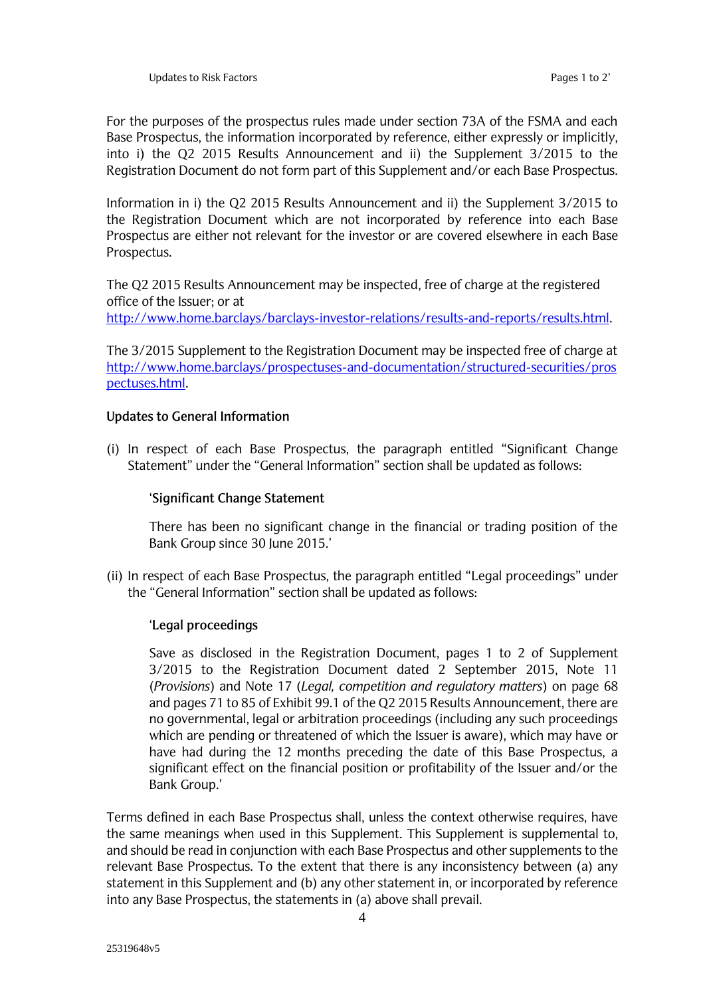For the purposes of the prospectus rules made under section 73A of the FSMA and each Base Prospectus, the information incorporated by reference, either expressly or implicitly, into i) the Q2 2015 Results Announcement and ii) the Supplement 3/2015 to the Registration Document do not form part of this Supplement and/or each Base Prospectus.

Information in i) the Q2 2015 Results Announcement and ii) the Supplement 3/2015 to the Registration Document which are not incorporated by reference into each Base Prospectus are either not relevant for the investor or are covered elsewhere in each Base Prospectus.

The Q2 2015 Results Announcement may be inspected, free of charge at the registered office of the Issuer; or at [http://www.home.barclays/barclays-investor-relations/results-and-reports/results.html.](http://www.home.barclays/barclays-investor-relations/results-and-reports/results.html)

The 3/2015 Supplement to the Registration Document may be inspected free of charge at [http://www.home.barclays/prospectuses-and-documentation/structured-securities/pros](http://www.home.barclays/prospectuses-and-documentation/structured-securities/prospectuses.html) [pectuses.html.](http://www.home.barclays/prospectuses-and-documentation/structured-securities/prospectuses.html)

### **Updates to General Information**

(i) In respect of each Base Prospectus, the paragraph entitled "Significant Change Statement" under the "General Information" section shall be updated as follows:

## '**Significant Change Statement**

There has been no significant change in the financial or trading position of the Bank Group since 30 June 2015.'

(ii) In respect of each Base Prospectus, the paragraph entitled "Legal proceedings" under the "General Information" section shall be updated as follows:

# '**Legal proceedings**

Save as disclosed in the Registration Document, pages 1 to 2 of Supplement 3/2015 to the Registration Document dated 2 September 2015, Note 11 (*Provisions*) and Note 17 (*Legal, competition and regulatory matters*) on page 68 and pages 71 to 85 of Exhibit 99.1 of the Q2 2015 Results Announcement, there are no governmental, legal or arbitration proceedings (including any such proceedings which are pending or threatened of which the Issuer is aware), which may have or have had during the 12 months preceding the date of this Base Prospectus, a significant effect on the financial position or profitability of the Issuer and/or the Bank Group.'

Terms defined in each Base Prospectus shall, unless the context otherwise requires, have the same meanings when used in this Supplement. This Supplement is supplemental to, and should be read in conjunction with each Base Prospectus and other supplements to the relevant Base Prospectus. To the extent that there is any inconsistency between (a) any statement in this Supplement and (b) any other statement in, or incorporated by reference into any Base Prospectus, the statements in (a) above shall prevail.